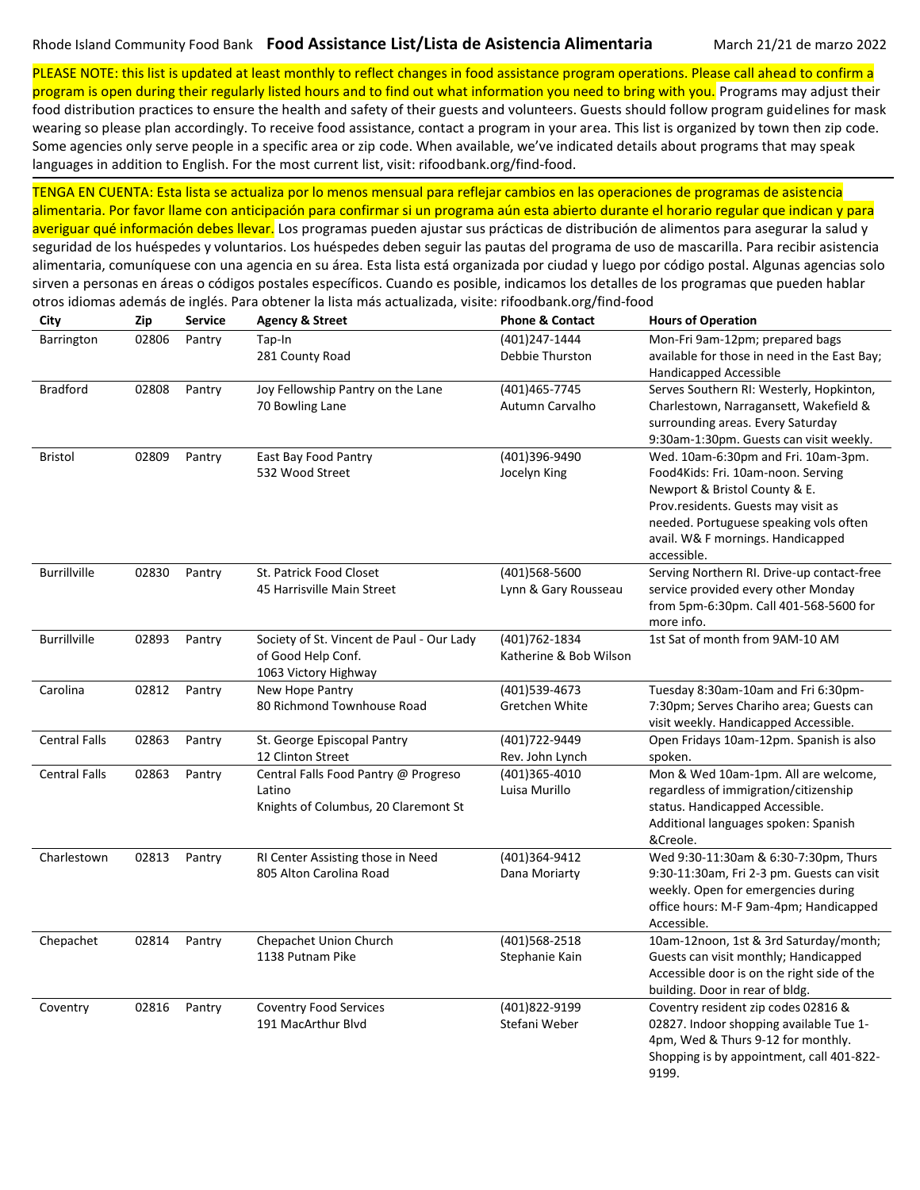PLEASE NOTE: this list is updated at least monthly to reflect changes in food assistance program operations. Please call ahead to confirm a program is open during their regularly listed hours and to find out what information you need to bring with you. Programs may adjust their

food distribution practices to ensure the health and safety of their guests and volunteers. Guests should follow program guidelines for mask wearing so please plan accordingly. To receive food assistance, contact a program in your area. This list is organized by town then zip code. Some agencies only serve people in a specific area or zip code. When available, we've indicated details about programs that may speak languages in addition to English. For the most current list, visit: rifoodbank.org/find-food.

TENGA EN CUENTA: Esta lista se actualiza por lo menos mensual para reflejar cambios en las operaciones de programas de asistencia alimentaria. Por favor llame con anticipación para confirmar si un programa aún esta abierto durante el horario regular que indican y para averiguar qué información debes llevar. Los programas pueden ajustar sus prácticas de distribución de alimentos para asegurar la salud y seguridad de los huéspedes y voluntarios. Los huéspedes deben seguir las pautas del programa de uso de mascarilla. Para recibir asistencia alimentaria, comuníquese con una agencia en su área. Esta lista está organizada por ciudad y luego por código postal. Algunas agencias solo

sirven a personas en áreas o códigos postales específicos. Cuando es posible, indicamos los detalles de los programas que pueden hablar

| City                 | Zip   | <b>Service</b> | <b>Agency &amp; Street</b>                                                              | <b>Phone &amp; Contact</b>               | <b>Hours of Operation</b>                                                                                                                                                                                                                       |
|----------------------|-------|----------------|-----------------------------------------------------------------------------------------|------------------------------------------|-------------------------------------------------------------------------------------------------------------------------------------------------------------------------------------------------------------------------------------------------|
| Barrington           | 02806 | Pantry         | Tap-In<br>281 County Road                                                               | (401)247-1444<br>Debbie Thurston         | Mon-Fri 9am-12pm; prepared bags<br>available for those in need in the East Bay;<br>Handicapped Accessible                                                                                                                                       |
| <b>Bradford</b>      | 02808 | Pantry         | Joy Fellowship Pantry on the Lane<br>70 Bowling Lane                                    | (401)465-7745<br>Autumn Carvalho         | Serves Southern RI: Westerly, Hopkinton,<br>Charlestown, Narragansett, Wakefield &<br>surrounding areas. Every Saturday<br>9:30am-1:30pm. Guests can visit weekly.                                                                              |
| Bristol              | 02809 | Pantry         | East Bay Food Pantry<br>532 Wood Street                                                 | (401)396-9490<br>Jocelyn King            | Wed. 10am-6:30pm and Fri. 10am-3pm.<br>Food4Kids: Fri. 10am-noon. Serving<br>Newport & Bristol County & E.<br>Prov.residents. Guests may visit as<br>needed. Portuguese speaking vols often<br>avail. W& F mornings. Handicapped<br>accessible. |
| Burrillville         | 02830 | Pantry         | St. Patrick Food Closet<br>45 Harrisville Main Street                                   | (401)568-5600<br>Lynn & Gary Rousseau    | Serving Northern RI. Drive-up contact-free<br>service provided every other Monday<br>from 5pm-6:30pm. Call 401-568-5600 for<br>more info.                                                                                                       |
| <b>Burrillville</b>  | 02893 | Pantry         | Society of St. Vincent de Paul - Our Lady<br>of Good Help Conf.<br>1063 Victory Highway | (401) 762-1834<br>Katherine & Bob Wilson | 1st Sat of month from 9AM-10 AM                                                                                                                                                                                                                 |
| Carolina             | 02812 | Pantry         | New Hope Pantry<br>80 Richmond Townhouse Road                                           | $(401)539-4673$<br>Gretchen White        | Tuesday 8:30am-10am and Fri 6:30pm-<br>7:30pm; Serves Chariho area; Guests can<br>visit weekly. Handicapped Accessible.                                                                                                                         |
| <b>Central Falls</b> | 02863 | Pantry         | St. George Episcopal Pantry<br>12 Clinton Street                                        | (401)722-9449<br>Rev. John Lynch         | Open Fridays 10am-12pm. Spanish is also<br>spoken.                                                                                                                                                                                              |
| <b>Central Falls</b> | 02863 | Pantry         | Central Falls Food Pantry @ Progreso<br>Latino<br>Knights of Columbus, 20 Claremont St  | (401)365-4010<br>Luisa Murillo           | Mon & Wed 10am-1pm. All are welcome,<br>regardless of immigration/citizenship<br>status. Handicapped Accessible.<br>Additional languages spoken: Spanish<br>&Creole.                                                                            |
| Charlestown          | 02813 | Pantry         | RI Center Assisting those in Need<br>805 Alton Carolina Road                            | (401)364-9412<br>Dana Moriarty           | Wed 9:30-11:30am & 6:30-7:30pm, Thurs<br>9:30-11:30am, Fri 2-3 pm. Guests can visit<br>weekly. Open for emergencies during<br>office hours: M-F 9am-4pm; Handicapped<br>Accessible.                                                             |
| Chepachet            | 02814 | Pantry         | Chepachet Union Church<br>1138 Putnam Pike                                              | (401)568-2518<br>Stephanie Kain          | 10am-12noon, 1st & 3rd Saturday/month;<br>Guests can visit monthly; Handicapped<br>Accessible door is on the right side of the<br>building. Door in rear of bldg.                                                                               |
| Coventry             | 02816 | Pantry         | <b>Coventry Food Services</b><br>191 MacArthur Blvd                                     | (401)822-9199<br>Stefani Weber           | Coventry resident zip codes 02816 &<br>02827. Indoor shopping available Tue 1-<br>4pm, Wed & Thurs 9-12 for monthly.<br>Shopping is by appointment, call 401-822-<br>9199.                                                                      |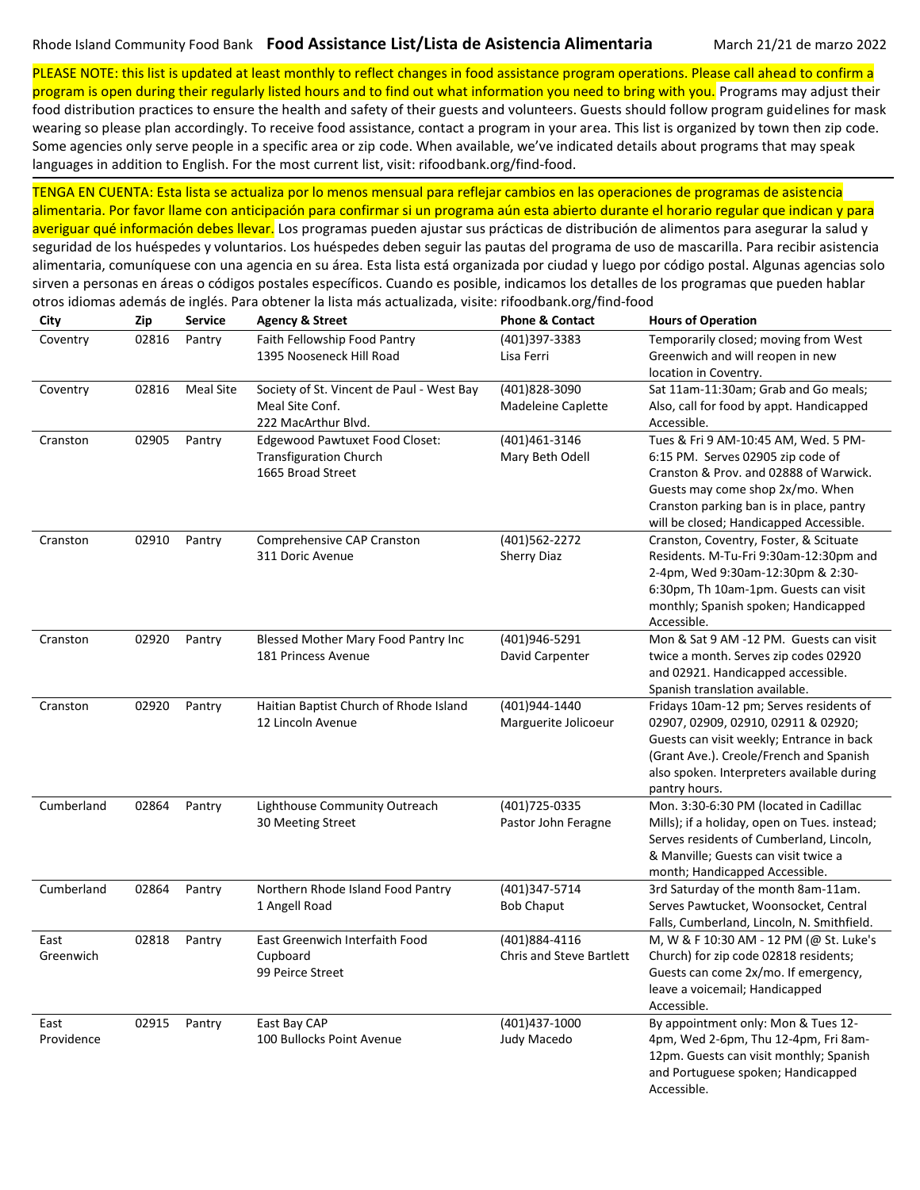PLEASE NOTE: this list is updated at least monthly to reflect changes in food assistance program operations. Please call ahead to confirm a program is open during their regularly listed hours and to find out what information you need to bring with you. Programs may adjust their

food distribution practices to ensure the health and safety of their guests and volunteers. Guests should follow program guidelines for mask wearing so please plan accordingly. To receive food assistance, contact a program in your area. This list is organized by town then zip code. Some agencies only serve people in a specific area or zip code. When available, we've indicated details about programs that may speak languages in addition to English. For the most current list, visit: rifoodbank.org/find-food.

TENGA EN CUENTA: Esta lista se actualiza por lo menos mensual para reflejar cambios en las operaciones de programas de asistencia alimentaria. Por favor llame con anticipación para confirmar si un programa aún esta abierto durante el horario regular que indican y para averiguar qué información debes llevar. Los programas pueden ajustar sus prácticas de distribución de alimentos para asegurar la salud y

seguridad de los huéspedes y voluntarios. Los huéspedes deben seguir las pautas del programa de uso de mascarilla. Para recibir asistencia alimentaria, comuníquese con una agencia en su área. Esta lista está organizada por ciudad y luego por código postal. Algunas agencias solo sirven a personas en áreas o códigos postales específicos. Cuando es posible, indicamos los detalles de los programas que pueden hablar otros idiomas además de inglés. Para obtener la lista más actualizada, visite: rifoodbank.org/find-food

| City               | Zip   | <b>Service</b>   | <b>Agency &amp; Street</b>                                                                  | <b>Phone &amp; Contact</b>                       | <b>Hours of Operation</b>                                                                                                                                                                                                                      |
|--------------------|-------|------------------|---------------------------------------------------------------------------------------------|--------------------------------------------------|------------------------------------------------------------------------------------------------------------------------------------------------------------------------------------------------------------------------------------------------|
| Coventry           | 02816 | Pantry           | Faith Fellowship Food Pantry<br>1395 Nooseneck Hill Road                                    | (401)397-3383<br>Lisa Ferri                      | Temporarily closed; moving from West<br>Greenwich and will reopen in new<br>location in Coventry.                                                                                                                                              |
| Coventry           | 02816 | <b>Meal Site</b> | Society of St. Vincent de Paul - West Bay<br>Meal Site Conf.<br>222 MacArthur Blvd.         | (401)828-3090<br>Madeleine Caplette              | Sat 11am-11:30am; Grab and Go meals;<br>Also, call for food by appt. Handicapped<br>Accessible.                                                                                                                                                |
| Cranston           | 02905 | Pantry           | <b>Edgewood Pawtuxet Food Closet:</b><br><b>Transfiguration Church</b><br>1665 Broad Street | (401)461-3146<br>Mary Beth Odell                 | Tues & Fri 9 AM-10:45 AM, Wed. 5 PM-<br>6:15 PM. Serves 02905 zip code of<br>Cranston & Prov. and 02888 of Warwick.<br>Guests may come shop 2x/mo. When<br>Cranston parking ban is in place, pantry<br>will be closed; Handicapped Accessible. |
| Cranston           | 02910 | Pantry           | Comprehensive CAP Cranston<br>311 Doric Avenue                                              | (401)562-2272<br><b>Sherry Diaz</b>              | Cranston, Coventry, Foster, & Scituate<br>Residents. M-Tu-Fri 9:30am-12:30pm and<br>2-4pm, Wed 9:30am-12:30pm & 2:30-<br>6:30pm, Th 10am-1pm. Guests can visit<br>monthly; Spanish spoken; Handicapped<br>Accessible.                          |
| Cranston           | 02920 | Pantry           | Blessed Mother Mary Food Pantry Inc<br>181 Princess Avenue                                  | (401)946-5291<br>David Carpenter                 | Mon & Sat 9 AM -12 PM. Guests can visit<br>twice a month. Serves zip codes 02920<br>and 02921. Handicapped accessible.<br>Spanish translation available.                                                                                       |
| Cranston           | 02920 | Pantry           | Haitian Baptist Church of Rhode Island<br>12 Lincoln Avenue                                 | (401)944-1440<br>Marguerite Jolicoeur            | Fridays 10am-12 pm; Serves residents of<br>02907, 02909, 02910, 02911 & 02920;<br>Guests can visit weekly; Entrance in back<br>(Grant Ave.). Creole/French and Spanish<br>also spoken. Interpreters available during<br>pantry hours.          |
| Cumberland         | 02864 | Pantry           | Lighthouse Community Outreach<br>30 Meeting Street                                          | (401) 725-0335<br>Pastor John Feragne            | Mon. 3:30-6:30 PM (located in Cadillac<br>Mills); if a holiday, open on Tues. instead;<br>Serves residents of Cumberland, Lincoln,<br>& Manville; Guests can visit twice a<br>month; Handicapped Accessible.                                   |
| Cumberland         | 02864 | Pantry           | Northern Rhode Island Food Pantry<br>1 Angell Road                                          | (401)347-5714<br><b>Bob Chaput</b>               | 3rd Saturday of the month 8am-11am.<br>Serves Pawtucket, Woonsocket, Central<br>Falls, Cumberland, Lincoln, N. Smithfield.                                                                                                                     |
| East<br>Greenwich  | 02818 | Pantry           | East Greenwich Interfaith Food<br>Cupboard<br>99 Peirce Street                              | (401)884-4116<br><b>Chris and Steve Bartlett</b> | M, W & F 10:30 AM - 12 PM (@ St. Luke's<br>Church) for zip code 02818 residents;<br>Guests can come 2x/mo. If emergency,<br>leave a voicemail; Handicapped<br>Accessible.                                                                      |
| East<br>Providence | 02915 | Pantry           | East Bay CAP<br>100 Bullocks Point Avenue                                                   | (401)437-1000<br>Judy Macedo                     | By appointment only: Mon & Tues 12-<br>4pm, Wed 2-6pm, Thu 12-4pm, Fri 8am-<br>12pm. Guests can visit monthly; Spanish<br>and Portuguese spoken; Handicapped<br>Accessible.                                                                    |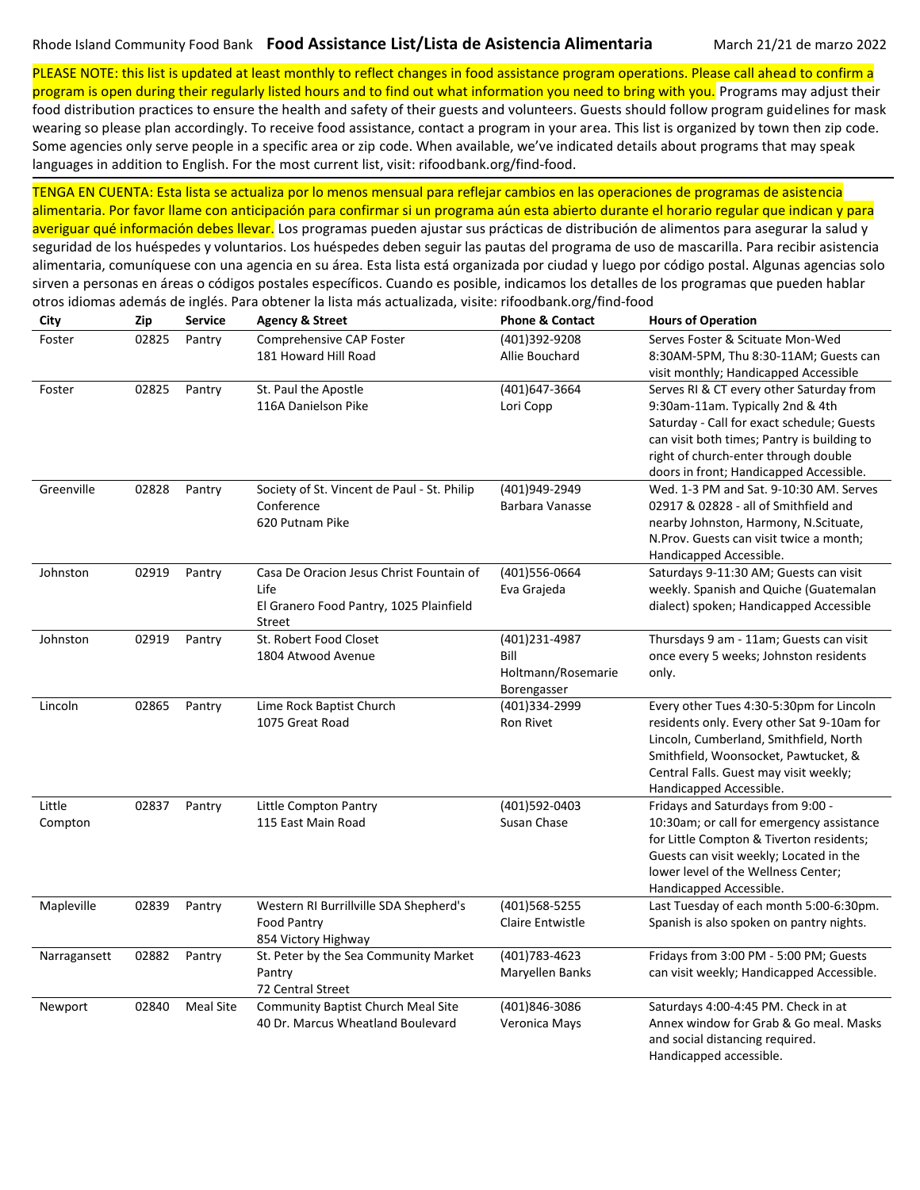PLEASE NOTE: this list is updated at least monthly to reflect changes in food assistance program operations. Please call ahead to confirm a program is open during their regularly listed hours and to find out what information you need to bring with you. Programs may adjust their

food distribution practices to ensure the health and safety of their guests and volunteers. Guests should follow program guidelines for mask wearing so please plan accordingly. To receive food assistance, contact a program in your area. This list is organized by town then zip code. Some agencies only serve people in a specific area or zip code. When available, we've indicated details about programs that may speak languages in addition to English. For the most current list, visit: rifoodbank.org/find-food.

TENGA EN CUENTA: Esta lista se actualiza por lo menos mensual para reflejar cambios en las operaciones de programas de asistencia alimentaria. Por favor llame con anticipación para confirmar si un programa aún esta abierto durante el horario regular que indican y para averiguar qué información debes llevar. Los programas pueden ajustar sus prácticas de distribución de alimentos para asegurar la salud y seguridad de los huéspedes y voluntarios. Los huéspedes deben seguir las pautas del programa de uso de mascarilla. Para recibir asistencia alimentaria, comuníquese con una agencia en su área. Esta lista está organizada por ciudad y luego por código postal. Algunas agencias solo

sirven a personas en áreas o códigos postales específicos. Cuando es posible, indicamos los detalles de los programas que pueden hablar

| City              | Zip   | <b>Service</b>   | <b>Agency &amp; Street</b>                                                                                   | <b>Phone &amp; Contact</b>                                 | <b>Hours of Operation</b>                                                                                                                                                                                                                                    |
|-------------------|-------|------------------|--------------------------------------------------------------------------------------------------------------|------------------------------------------------------------|--------------------------------------------------------------------------------------------------------------------------------------------------------------------------------------------------------------------------------------------------------------|
| Foster            | 02825 | Pantry           | Comprehensive CAP Foster<br>181 Howard Hill Road                                                             | (401)392-9208<br>Allie Bouchard                            | Serves Foster & Scituate Mon-Wed<br>8:30AM-5PM, Thu 8:30-11AM; Guests can<br>visit monthly; Handicapped Accessible                                                                                                                                           |
| Foster            | 02825 | Pantry           | St. Paul the Apostle<br>116A Danielson Pike                                                                  | (401)647-3664<br>Lori Copp                                 | Serves RI & CT every other Saturday from<br>9:30am-11am. Typically 2nd & 4th<br>Saturday - Call for exact schedule; Guests<br>can visit both times; Pantry is building to<br>right of church-enter through double<br>doors in front; Handicapped Accessible. |
| Greenville        | 02828 | Pantry           | Society of St. Vincent de Paul - St. Philip<br>Conference<br>620 Putnam Pike                                 | (401)949-2949<br>Barbara Vanasse                           | Wed. 1-3 PM and Sat. 9-10:30 AM. Serves<br>02917 & 02828 - all of Smithfield and<br>nearby Johnston, Harmony, N.Scituate,<br>N.Prov. Guests can visit twice a month;<br>Handicapped Accessible.                                                              |
| Johnston          | 02919 | Pantry           | Casa De Oracion Jesus Christ Fountain of<br>Life<br>El Granero Food Pantry, 1025 Plainfield<br><b>Street</b> | (401)556-0664<br>Eva Grajeda                               | Saturdays 9-11:30 AM; Guests can visit<br>weekly. Spanish and Quiche (Guatemalan<br>dialect) spoken; Handicapped Accessible                                                                                                                                  |
| Johnston          | 02919 | Pantry           | St. Robert Food Closet<br>1804 Atwood Avenue                                                                 | (401)231-4987<br>Bill<br>Holtmann/Rosemarie<br>Borengasser | Thursdays 9 am - 11am; Guests can visit<br>once every 5 weeks; Johnston residents<br>only.                                                                                                                                                                   |
| Lincoln           | 02865 | Pantry           | Lime Rock Baptist Church<br>1075 Great Road                                                                  | (401)334-2999<br><b>Ron Rivet</b>                          | Every other Tues 4:30-5:30pm for Lincoln<br>residents only. Every other Sat 9-10am for<br>Lincoln, Cumberland, Smithfield, North<br>Smithfield, Woonsocket, Pawtucket, &<br>Central Falls. Guest may visit weekly;<br>Handicapped Accessible.                |
| Little<br>Compton | 02837 | Pantry           | Little Compton Pantry<br>115 East Main Road                                                                  | (401)592-0403<br>Susan Chase                               | Fridays and Saturdays from 9:00 -<br>10:30am; or call for emergency assistance<br>for Little Compton & Tiverton residents;<br>Guests can visit weekly; Located in the<br>lower level of the Wellness Center;<br>Handicapped Accessible.                      |
| Mapleville        | 02839 | Pantry           | Western RI Burrillville SDA Shepherd's<br>Food Pantry<br>854 Victory Highway                                 | (401) 568-5255<br>Claire Entwistle                         | Last Tuesday of each month 5:00-6:30pm.<br>Spanish is also spoken on pantry nights.                                                                                                                                                                          |
| Narragansett      | 02882 | Pantry           | St. Peter by the Sea Community Market<br>Pantry<br>72 Central Street                                         | (401) 783-4623<br>Maryellen Banks                          | Fridays from 3:00 PM - 5:00 PM; Guests<br>can visit weekly; Handicapped Accessible.                                                                                                                                                                          |
| Newport           | 02840 | <b>Meal Site</b> | Community Baptist Church Meal Site<br>40 Dr. Marcus Wheatland Boulevard                                      | (401)846-3086<br>Veronica Mays                             | Saturdays 4:00-4:45 PM. Check in at<br>Annex window for Grab & Go meal. Masks<br>and social distancing required.<br>Handicapped accessible.                                                                                                                  |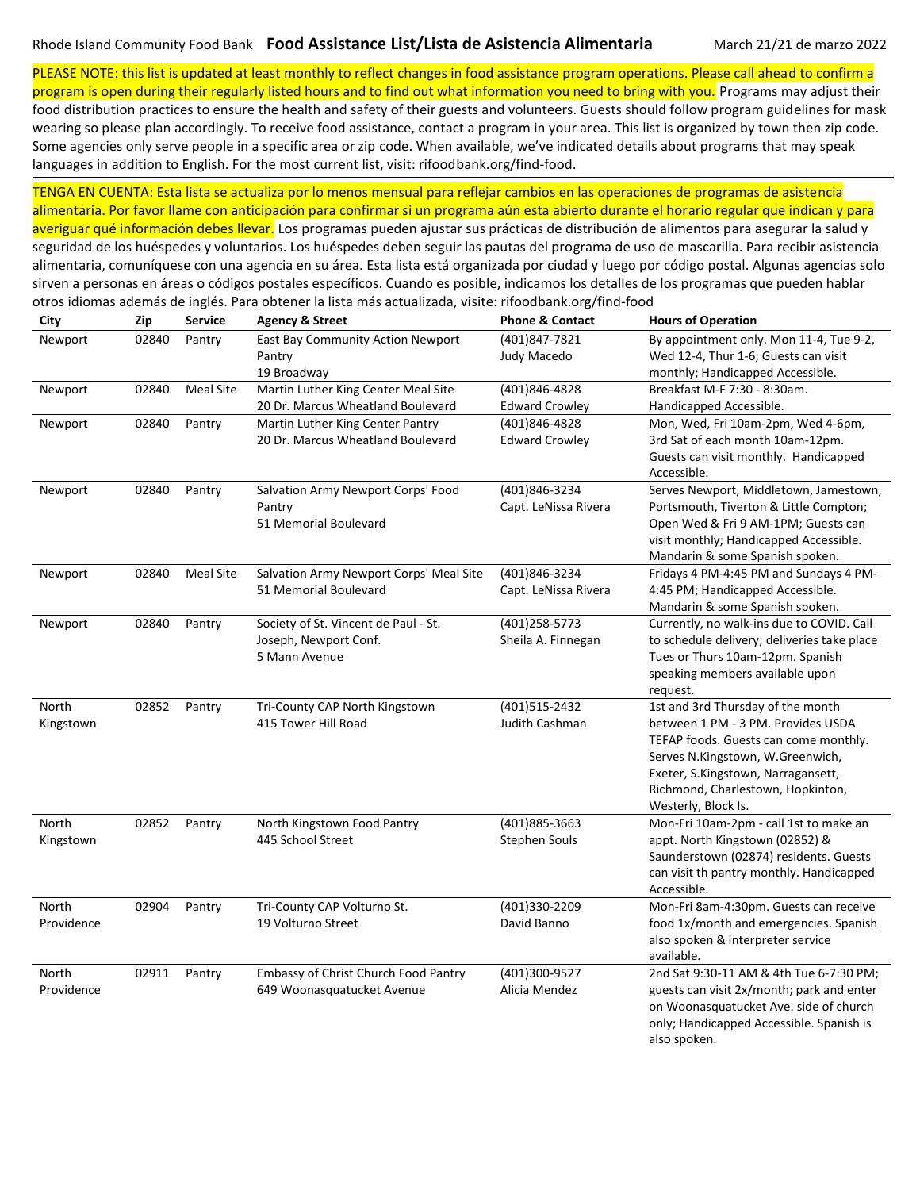PLEASE NOTE: this list is updated at least monthly to reflect changes in food assistance program operations. Please call ahead to confirm a program is open during their regularly listed hours and to find out what information you need to bring with you. Programs may adjust their

food distribution practices to ensure the health and safety of their guests and volunteers. Guests should follow program guidelines for mask wearing so please plan accordingly. To receive food assistance, contact a program in your area. This list is organized by town then zip code. Some agencies only serve people in a specific area or zip code. When available, we've indicated details about programs that may speak languages in addition to English. For the most current list, visit: rifoodbank.org/find-food.

TENGA EN CUENTA: Esta lista se actualiza por lo menos mensual para reflejar cambios en las operaciones de programas de asistencia alimentaria. Por favor llame con anticipación para confirmar si un programa aún esta abierto durante el horario regular que indican y para averiguar qué información debes llevar. Los programas pueden ajustar sus prácticas de distribución de alimentos para asegurar la salud y

seguridad de los huéspedes y voluntarios. Los huéspedes deben seguir las pautas del programa de uso de mascarilla. Para recibir asistencia alimentaria, comuníquese con una agencia en su área. Esta lista está organizada por ciudad y luego por código postal. Algunas agencias solo sirven a personas en áreas o códigos postales específicos. Cuando es posible, indicamos los detalles de los programas que pueden hablar otros idiomas además de inglés. Para obtener la lista más actualizada, visite: rifoodbank.org/find-food

| City       | Zip   | Service          | <b>Agency &amp; Street</b>              | <b>Phone &amp; Contact</b> | <b>Hours of Operation</b>                                                 |
|------------|-------|------------------|-----------------------------------------|----------------------------|---------------------------------------------------------------------------|
| Newport    | 02840 | Pantry           | East Bay Community Action Newport       | (401)847-7821              | By appointment only. Mon 11-4, Tue 9-2,                                   |
|            |       |                  | Pantry                                  | Judy Macedo                | Wed 12-4, Thur 1-6; Guests can visit                                      |
|            |       |                  | 19 Broadway                             |                            | monthly; Handicapped Accessible.                                          |
| Newport    | 02840 | <b>Meal Site</b> | Martin Luther King Center Meal Site     | (401)846-4828              | Breakfast M-F 7:30 - 8:30am.                                              |
|            |       |                  | 20 Dr. Marcus Wheatland Boulevard       | <b>Edward Crowley</b>      | Handicapped Accessible.                                                   |
| Newport    | 02840 | Pantry           | Martin Luther King Center Pantry        | (401)846-4828              | Mon, Wed, Fri 10am-2pm, Wed 4-6pm,                                        |
|            |       |                  | 20 Dr. Marcus Wheatland Boulevard       | <b>Edward Crowley</b>      | 3rd Sat of each month 10am-12pm.                                          |
|            |       |                  |                                         |                            | Guests can visit monthly. Handicapped                                     |
|            |       |                  |                                         |                            | Accessible.                                                               |
| Newport    | 02840 | Pantry           | Salvation Army Newport Corps' Food      | (401)846-3234              | Serves Newport, Middletown, Jamestown,                                    |
|            |       |                  | Pantry                                  | Capt. LeNissa Rivera       | Portsmouth, Tiverton & Little Compton;                                    |
|            |       |                  | 51 Memorial Boulevard                   |                            | Open Wed & Fri 9 AM-1PM; Guests can                                       |
|            |       |                  |                                         |                            | visit monthly; Handicapped Accessible.                                    |
|            |       |                  |                                         |                            | Mandarin & some Spanish spoken.                                           |
| Newport    | 02840 | Meal Site        | Salvation Army Newport Corps' Meal Site | (401)846-3234              | Fridays 4 PM-4:45 PM and Sundays 4 PM-                                    |
|            |       |                  | 51 Memorial Boulevard                   | Capt. LeNissa Rivera       | 4:45 PM; Handicapped Accessible.                                          |
|            |       |                  |                                         |                            | Mandarin & some Spanish spoken.                                           |
| Newport    | 02840 | Pantry           | Society of St. Vincent de Paul - St.    | (401)258-5773              | Currently, no walk-ins due to COVID. Call                                 |
|            |       |                  | Joseph, Newport Conf.                   | Sheila A. Finnegan         | to schedule delivery; deliveries take place                               |
|            |       |                  | 5 Mann Avenue                           |                            | Tues or Thurs 10am-12pm. Spanish                                          |
|            |       |                  |                                         |                            | speaking members available upon                                           |
|            |       |                  |                                         |                            | request.                                                                  |
| North      | 02852 | Pantry           | Tri-County CAP North Kingstown          | (401)515-2432              | 1st and 3rd Thursday of the month                                         |
| Kingstown  |       |                  | 415 Tower Hill Road                     | Judith Cashman             | between 1 PM - 3 PM. Provides USDA                                        |
|            |       |                  |                                         |                            | TEFAP foods. Guests can come monthly.<br>Serves N.Kingstown, W.Greenwich, |
|            |       |                  |                                         |                            | Exeter, S.Kingstown, Narragansett,                                        |
|            |       |                  |                                         |                            | Richmond, Charlestown, Hopkinton,                                         |
|            |       |                  |                                         |                            | Westerly, Block Is.                                                       |
| North      | 02852 | Pantry           | North Kingstown Food Pantry             | (401)885-3663              | Mon-Fri 10am-2pm - call 1st to make an                                    |
| Kingstown  |       |                  | 445 School Street                       | <b>Stephen Souls</b>       | appt. North Kingstown (02852) &                                           |
|            |       |                  |                                         |                            | Saunderstown (02874) residents. Guests                                    |
|            |       |                  |                                         |                            | can visit th pantry monthly. Handicapped                                  |
|            |       |                  |                                         |                            | Accessible.                                                               |
| North      | 02904 | Pantry           | Tri-County CAP Volturno St.             | (401)330-2209              | Mon-Fri 8am-4:30pm. Guests can receive                                    |
| Providence |       |                  | 19 Volturno Street                      | David Banno                | food 1x/month and emergencies. Spanish                                    |
|            |       |                  |                                         |                            | also spoken & interpreter service                                         |
|            |       |                  |                                         |                            | available.                                                                |
| North      | 02911 | Pantry           | Embassy of Christ Church Food Pantry    | (401)300-9527              | 2nd Sat 9:30-11 AM & 4th Tue 6-7:30 PM;                                   |
| Providence |       |                  | 649 Woonasquatucket Avenue              | Alicia Mendez              | guests can visit 2x/month; park and enter                                 |
|            |       |                  |                                         |                            | on Woonasquatucket Ave. side of church                                    |
|            |       |                  |                                         |                            | only; Handicapped Accessible. Spanish is                                  |
|            |       |                  |                                         |                            | also spoken.                                                              |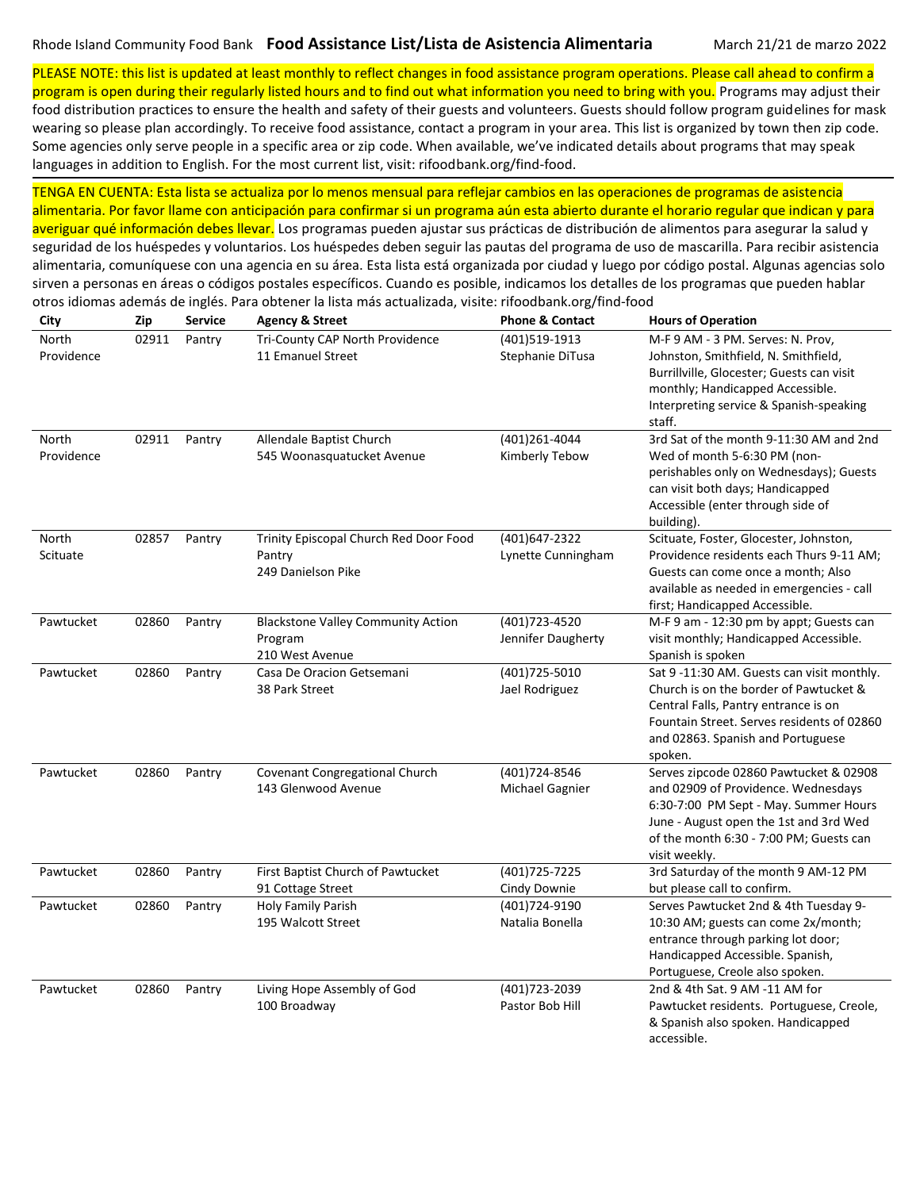PLEASE NOTE: this list is updated at least monthly to reflect changes in food assistance program operations. Please call ahead to confirm a

program is open during their regularly listed hours and to find out what information you need to bring with you. Programs may adjust their food distribution practices to ensure the health and safety of their guests and volunteers. Guests should follow program guidelines for mask wearing so please plan accordingly. To receive food assistance, contact a program in your area. This list is organized by town then zip code. Some agencies only serve people in a specific area or zip code. When available, we've indicated details about programs that may speak languages in addition to English. For the most current list, visit: rifoodbank.org/find-food.

TENGA EN CUENTA: Esta lista se actualiza por lo menos mensual para reflejar cambios en las operaciones de programas de asistencia alimentaria. Por favor llame con anticipación para confirmar si un programa aún esta abierto durante el horario regular que indican y para averiguar qué información debes llevar. Los programas pueden ajustar sus prácticas de distribución de alimentos para asegurar la salud y

seguridad de los huéspedes y voluntarios. Los huéspedes deben seguir las pautas del programa de uso de mascarilla. Para recibir asistencia alimentaria, comuníquese con una agencia en su área. Esta lista está organizada por ciudad y luego por código postal. Algunas agencias solo sirven a personas en áreas o códigos postales específicos. Cuando es posible, indicamos los detalles de los programas que pueden hablar otros idiomas además de inglés. Para obtener la lista más actualizada, visite: rifoodbank.org/find-food

| City                | Zip   | Service | <b>Agency &amp; Street</b>                                              | <b>Phone &amp; Contact</b>           | <b>Hours of Operation</b>                                                                                                                                                                                                    |
|---------------------|-------|---------|-------------------------------------------------------------------------|--------------------------------------|------------------------------------------------------------------------------------------------------------------------------------------------------------------------------------------------------------------------------|
| North<br>Providence | 02911 | Pantry  | Tri-County CAP North Providence<br>11 Emanuel Street                    | (401)519-1913<br>Stephanie DiTusa    | M-F 9 AM - 3 PM. Serves: N. Prov,<br>Johnston, Smithfield, N. Smithfield,<br>Burrillville, Glocester; Guests can visit<br>monthly; Handicapped Accessible.<br>Interpreting service & Spanish-speaking                        |
|                     |       |         |                                                                         |                                      | staff.                                                                                                                                                                                                                       |
| North<br>Providence | 02911 | Pantry  | Allendale Baptist Church<br>545 Woonasquatucket Avenue                  | (401)261-4044<br>Kimberly Tebow      | 3rd Sat of the month 9-11:30 AM and 2nd<br>Wed of month 5-6:30 PM (non-<br>perishables only on Wednesdays); Guests<br>can visit both days; Handicapped<br>Accessible (enter through side of<br>building).                    |
| North<br>Scituate   | 02857 | Pantry  | Trinity Episcopal Church Red Door Food<br>Pantry<br>249 Danielson Pike  | (401)647-2322<br>Lynette Cunningham  | Scituate, Foster, Glocester, Johnston,<br>Providence residents each Thurs 9-11 AM;<br>Guests can come once a month; Also<br>available as needed in emergencies - call<br>first; Handicapped Accessible.                      |
| Pawtucket           | 02860 | Pantry  | <b>Blackstone Valley Community Action</b><br>Program<br>210 West Avenue | (401) 723-4520<br>Jennifer Daugherty | M-F 9 am - 12:30 pm by appt; Guests can<br>visit monthly; Handicapped Accessible.<br>Spanish is spoken                                                                                                                       |
| Pawtucket           | 02860 | Pantry  | Casa De Oracion Getsemani<br>38 Park Street                             | (401) 725-5010<br>Jael Rodriguez     | Sat 9-11:30 AM. Guests can visit monthly.<br>Church is on the border of Pawtucket &<br>Central Falls, Pantry entrance is on<br>Fountain Street. Serves residents of 02860<br>and 02863. Spanish and Portuguese<br>spoken.    |
| Pawtucket           | 02860 | Pantry  | Covenant Congregational Church<br>143 Glenwood Avenue                   | (401)724-8546<br>Michael Gagnier     | Serves zipcode 02860 Pawtucket & 02908<br>and 02909 of Providence. Wednesdays<br>6:30-7:00 PM Sept - May. Summer Hours<br>June - August open the 1st and 3rd Wed<br>of the month 6:30 - 7:00 PM; Guests can<br>visit weekly. |
| Pawtucket           | 02860 | Pantry  | First Baptist Church of Pawtucket<br>91 Cottage Street                  | (401) 725 - 7225<br>Cindy Downie     | 3rd Saturday of the month 9 AM-12 PM<br>but please call to confirm.                                                                                                                                                          |
| Pawtucket           | 02860 | Pantry  | Holy Family Parish<br>195 Walcott Street                                | (401)724-9190<br>Natalia Bonella     | Serves Pawtucket 2nd & 4th Tuesday 9-<br>10:30 AM; guests can come 2x/month;<br>entrance through parking lot door;<br>Handicapped Accessible. Spanish,<br>Portuguese, Creole also spoken.                                    |
| Pawtucket           | 02860 | Pantry  | Living Hope Assembly of God<br>100 Broadway                             | (401) 723 - 2039<br>Pastor Bob Hill  | 2nd & 4th Sat. 9 AM -11 AM for<br>Pawtucket residents. Portuguese, Creole,<br>& Spanish also spoken. Handicapped<br>accessible.                                                                                              |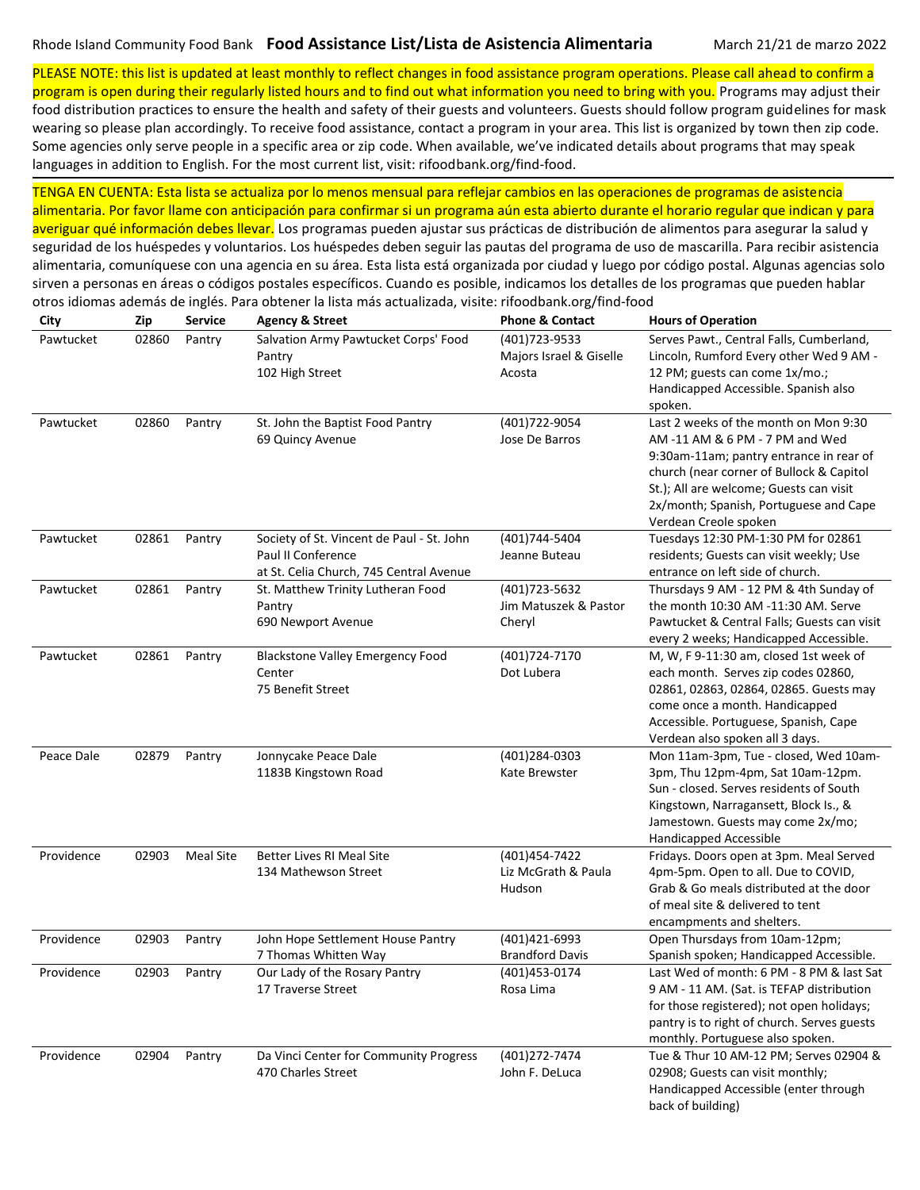otros idiomas además de inglés. Para obtener la lista más actualizada, visite: rifoodbank.org/find-food

PLEASE NOTE: this list is updated at least monthly to reflect changes in food assistance program operations. Please call ahead to confirm a

program is open during their regularly listed hours and to find out what information you need to bring with you. Programs may adjust their food distribution practices to ensure the health and safety of their guests and volunteers. Guests should follow program guidelines for mask wearing so please plan accordingly. To receive food assistance, contact a program in your area. This list is organized by town then zip code. Some agencies only serve people in a specific area or zip code. When available, we've indicated details about programs that may speak languages in addition to English. For the most current list, visit: rifoodbank.org/find-food.

TENGA EN CUENTA: Esta lista se actualiza por lo menos mensual para reflejar cambios en las operaciones de programas de asistencia alimentaria. Por favor llame con anticipación para confirmar si un programa aún esta abierto durante el horario regular que indican y para averiguar qué información debes llevar. Los programas pueden ajustar sus prácticas de distribución de alimentos para asegurar la salud y seguridad de los huéspedes y voluntarios. Los huéspedes deben seguir las pautas del programa de uso de mascarilla. Para recibir asistencia alimentaria, comuníquese con una agencia en su área. Esta lista está organizada por ciudad y luego por código postal. Algunas agencias solo sirven a personas en áreas o códigos postales específicos. Cuando es posible, indicamos los detalles de los programas que pueden hablar

| City       | Zip   | Service          | <b>Agency &amp; Street</b>                                                                                 | <b>Phone &amp; Contact</b>                         | <b>Hours of Operation</b>                                                                                                                                                                                                                                                     |
|------------|-------|------------------|------------------------------------------------------------------------------------------------------------|----------------------------------------------------|-------------------------------------------------------------------------------------------------------------------------------------------------------------------------------------------------------------------------------------------------------------------------------|
| Pawtucket  | 02860 | Pantry           | Salvation Army Pawtucket Corps' Food<br>Pantry<br>102 High Street                                          | (401)723-9533<br>Majors Israel & Giselle<br>Acosta | Serves Pawt., Central Falls, Cumberland,<br>Lincoln, Rumford Every other Wed 9 AM -<br>12 PM; guests can come 1x/mo.;<br>Handicapped Accessible. Spanish also<br>spoken.                                                                                                      |
| Pawtucket  | 02860 | Pantry           | St. John the Baptist Food Pantry<br>69 Quincy Avenue                                                       | (401)722-9054<br>Jose De Barros                    | Last 2 weeks of the month on Mon 9:30<br>AM -11 AM & 6 PM - 7 PM and Wed<br>9:30am-11am; pantry entrance in rear of<br>church (near corner of Bullock & Capitol<br>St.); All are welcome; Guests can visit<br>2x/month; Spanish, Portuguese and Cape<br>Verdean Creole spoken |
| Pawtucket  | 02861 | Pantry           | Society of St. Vincent de Paul - St. John<br>Paul II Conference<br>at St. Celia Church, 745 Central Avenue | (401)744-5404<br>Jeanne Buteau                     | Tuesdays 12:30 PM-1:30 PM for 02861<br>residents; Guests can visit weekly; Use<br>entrance on left side of church.                                                                                                                                                            |
| Pawtucket  | 02861 | Pantry           | St. Matthew Trinity Lutheran Food<br>Pantry<br>690 Newport Avenue                                          | (401) 723-5632<br>Jim Matuszek & Pastor<br>Cheryl  | Thursdays 9 AM - 12 PM & 4th Sunday of<br>the month 10:30 AM -11:30 AM. Serve<br>Pawtucket & Central Falls; Guests can visit<br>every 2 weeks; Handicapped Accessible.                                                                                                        |
| Pawtucket  | 02861 | Pantry           | <b>Blackstone Valley Emergency Food</b><br>Center<br>75 Benefit Street                                     | (401)724-7170<br>Dot Lubera                        | M, W, F 9-11:30 am, closed 1st week of<br>each month. Serves zip codes 02860,<br>02861, 02863, 02864, 02865. Guests may<br>come once a month. Handicapped<br>Accessible. Portuguese, Spanish, Cape<br>Verdean also spoken all 3 days.                                         |
| Peace Dale | 02879 | Pantry           | Jonnycake Peace Dale<br>1183B Kingstown Road                                                               | (401)284-0303<br>Kate Brewster                     | Mon 11am-3pm, Tue - closed, Wed 10am-<br>3pm, Thu 12pm-4pm, Sat 10am-12pm.<br>Sun - closed. Serves residents of South<br>Kingstown, Narragansett, Block Is., &<br>Jamestown. Guests may come 2x/mo;<br>Handicapped Accessible                                                 |
| Providence | 02903 | <b>Meal Site</b> | <b>Better Lives RI Meal Site</b><br>134 Mathewson Street                                                   | (401)454-7422<br>Liz McGrath & Paula<br>Hudson     | Fridays. Doors open at 3pm. Meal Served<br>4pm-5pm. Open to all. Due to COVID,<br>Grab & Go meals distributed at the door<br>of meal site & delivered to tent<br>encampments and shelters.                                                                                    |
| Providence | 02903 | Pantry           | John Hope Settlement House Pantry<br>7 Thomas Whitten Way                                                  | (401)421-6993<br><b>Brandford Davis</b>            | Open Thursdays from 10am-12pm;<br>Spanish spoken; Handicapped Accessible.                                                                                                                                                                                                     |
| Providence | 02903 | Pantry           | Our Lady of the Rosary Pantry<br>17 Traverse Street                                                        | (401)453-0174<br>Rosa Lima                         | Last Wed of month: 6 PM - 8 PM & last Sat<br>9 AM - 11 AM. (Sat. is TEFAP distribution<br>for those registered); not open holidays;<br>pantry is to right of church. Serves guests<br>monthly. Portuguese also spoken.                                                        |
| Providence | 02904 | Pantry           | Da Vinci Center for Community Progress<br>470 Charles Street                                               | (401) 272-7474<br>John F. DeLuca                   | Tue & Thur 10 AM-12 PM; Serves 02904 &<br>02908; Guests can visit monthly;<br>Handicapped Accessible (enter through<br>back of building)                                                                                                                                      |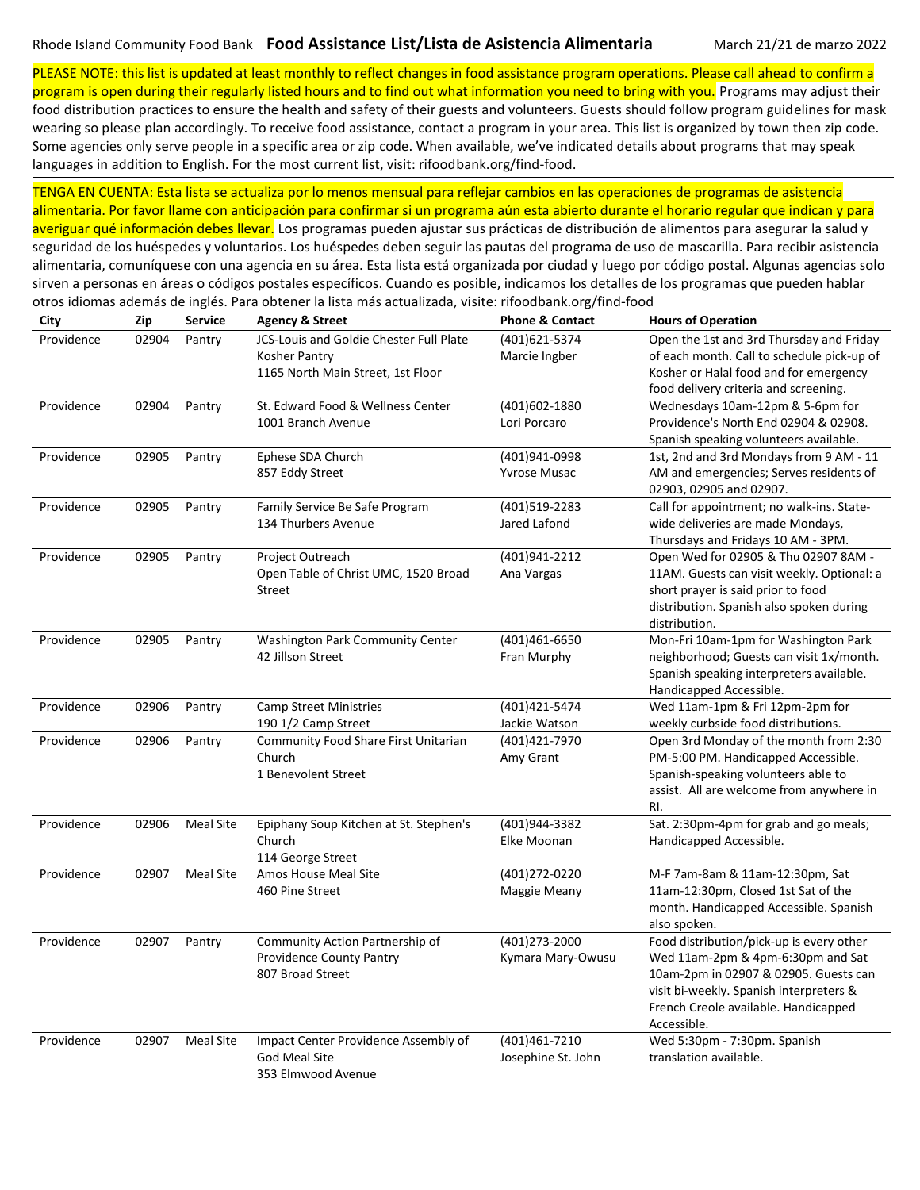PLEASE NOTE: this list is updated at least monthly to reflect changes in food assistance program operations. Please call ahead to confirm a program is open during their regularly listed hours and to find out what information you need to bring with you. Programs may adjust their

food distribution practices to ensure the health and safety of their guests and volunteers. Guests should follow program guidelines for mask wearing so please plan accordingly. To receive food assistance, contact a program in your area. This list is organized by town then zip code. Some agencies only serve people in a specific area or zip code. When available, we've indicated details about programs that may speak languages in addition to English. For the most current list, visit: rifoodbank.org/find-food.

TENGA EN CUENTA: Esta lista se actualiza por lo menos mensual para reflejar cambios en las operaciones de programas de asistencia alimentaria. Por favor llame con anticipación para confirmar si un programa aún esta abierto durante el horario regular que indican y para averiguar qué información debes llevar. Los programas pueden ajustar sus prácticas de distribución de alimentos para asegurar la salud y seguridad de los huéspedes y voluntarios. Los huéspedes deben seguir las pautas del programa de uso de mascarilla. Para recibir asistencia alimentaria, comuníquese con una agencia en su área. Esta lista está organizada por ciudad y luego por código postal. Algunas agencias solo sirven a personas en áreas o códigos postales específicos. Cuando es posible, indicamos los detalles de los programas que pueden hablar otros idiomas además de inglés. Para obtener la lista más actualizada, visite: rifoodbank.org/find-food

| City       | Zip   | <b>Service</b>   | <b>Agency &amp; Street</b>              | <b>Phone &amp; Contact</b> | <b>Hours of Operation</b>                  |
|------------|-------|------------------|-----------------------------------------|----------------------------|--------------------------------------------|
| Providence | 02904 | Pantry           | JCS-Louis and Goldie Chester Full Plate | (401)621-5374              | Open the 1st and 3rd Thursday and Friday   |
|            |       |                  | Kosher Pantry                           | Marcie Ingber              | of each month. Call to schedule pick-up of |
|            |       |                  | 1165 North Main Street, 1st Floor       |                            | Kosher or Halal food and for emergency     |
|            |       |                  |                                         |                            | food delivery criteria and screening.      |
| Providence | 02904 | Pantry           | St. Edward Food & Wellness Center       | (401)602-1880              | Wednesdays 10am-12pm & 5-6pm for           |
|            |       |                  | 1001 Branch Avenue                      | Lori Porcaro               | Providence's North End 02904 & 02908.      |
|            |       |                  |                                         |                            | Spanish speaking volunteers available.     |
| Providence | 02905 | Pantry           | Ephese SDA Church                       | (401)941-0998              | 1st, 2nd and 3rd Mondays from 9 AM - 11    |
|            |       |                  | 857 Eddy Street                         | <b>Yvrose Musac</b>        | AM and emergencies; Serves residents of    |
|            |       |                  |                                         |                            | 02903, 02905 and 02907.                    |
| Providence | 02905 | Pantry           | Family Service Be Safe Program          | (401)519-2283              | Call for appointment; no walk-ins. State-  |
|            |       |                  | 134 Thurbers Avenue                     | Jared Lafond               | wide deliveries are made Mondays,          |
|            |       |                  |                                         |                            | Thursdays and Fridays 10 AM - 3PM.         |
| Providence | 02905 | Pantry           | Project Outreach                        | (401)941-2212              | Open Wed for 02905 & Thu 02907 8AM -       |
|            |       |                  | Open Table of Christ UMC, 1520 Broad    | Ana Vargas                 | 11AM. Guests can visit weekly. Optional: a |
|            |       |                  | Street                                  |                            | short prayer is said prior to food         |
|            |       |                  |                                         |                            | distribution. Spanish also spoken during   |
|            |       |                  |                                         |                            | distribution.                              |
| Providence | 02905 | Pantry           | <b>Washington Park Community Center</b> | (401)461-6650              | Mon-Fri 10am-1pm for Washington Park       |
|            |       |                  | 42 Jillson Street                       | Fran Murphy                | neighborhood; Guests can visit 1x/month.   |
|            |       |                  |                                         |                            | Spanish speaking interpreters available.   |
|            |       |                  |                                         |                            | Handicapped Accessible.                    |
| Providence | 02906 | Pantry           | <b>Camp Street Ministries</b>           | (401)421-5474              | Wed 11am-1pm & Fri 12pm-2pm for            |
|            |       |                  | 190 1/2 Camp Street                     | Jackie Watson              | weekly curbside food distributions.        |
| Providence | 02906 | Pantry           | Community Food Share First Unitarian    | (401)421-7970              | Open 3rd Monday of the month from 2:30     |
|            |       |                  | Church                                  | Amy Grant                  | PM-5:00 PM. Handicapped Accessible.        |
|            |       |                  | 1 Benevolent Street                     |                            | Spanish-speaking volunteers able to        |
|            |       |                  |                                         |                            | assist. All are welcome from anywhere in   |
|            |       |                  |                                         |                            | RI.                                        |
| Providence | 02906 | <b>Meal Site</b> | Epiphany Soup Kitchen at St. Stephen's  | (401)944-3382              | Sat. 2:30pm-4pm for grab and go meals;     |
|            |       |                  | Church                                  | Elke Moonan                | Handicapped Accessible.                    |
|            |       |                  | 114 George Street                       |                            |                                            |
| Providence | 02907 | <b>Meal Site</b> | Amos House Meal Site                    | (401)272-0220              | M-F 7am-8am & 11am-12:30pm, Sat            |
|            |       |                  | 460 Pine Street                         | Maggie Meany               | 11am-12:30pm, Closed 1st Sat of the        |
|            |       |                  |                                         |                            | month. Handicapped Accessible. Spanish     |
|            |       |                  |                                         |                            | also spoken.                               |
| Providence | 02907 | Pantry           | Community Action Partnership of         | (401)273-2000              | Food distribution/pick-up is every other   |
|            |       |                  | Providence County Pantry                | Kymara Mary-Owusu          | Wed 11am-2pm & 4pm-6:30pm and Sat          |
|            |       |                  | 807 Broad Street                        |                            | 10am-2pm in 02907 & 02905. Guests can      |
|            |       |                  |                                         |                            | visit bi-weekly. Spanish interpreters &    |
|            |       |                  |                                         |                            | French Creole available. Handicapped       |
|            |       |                  |                                         |                            | Accessible.                                |
| Providence | 02907 | <b>Meal Site</b> | Impact Center Providence Assembly of    | (401)461-7210              | Wed 5:30pm - 7:30pm. Spanish               |
|            |       |                  | <b>God Meal Site</b>                    | Josephine St. John         | translation available.                     |
|            |       |                  | 353 Elmwood Avenue                      |                            |                                            |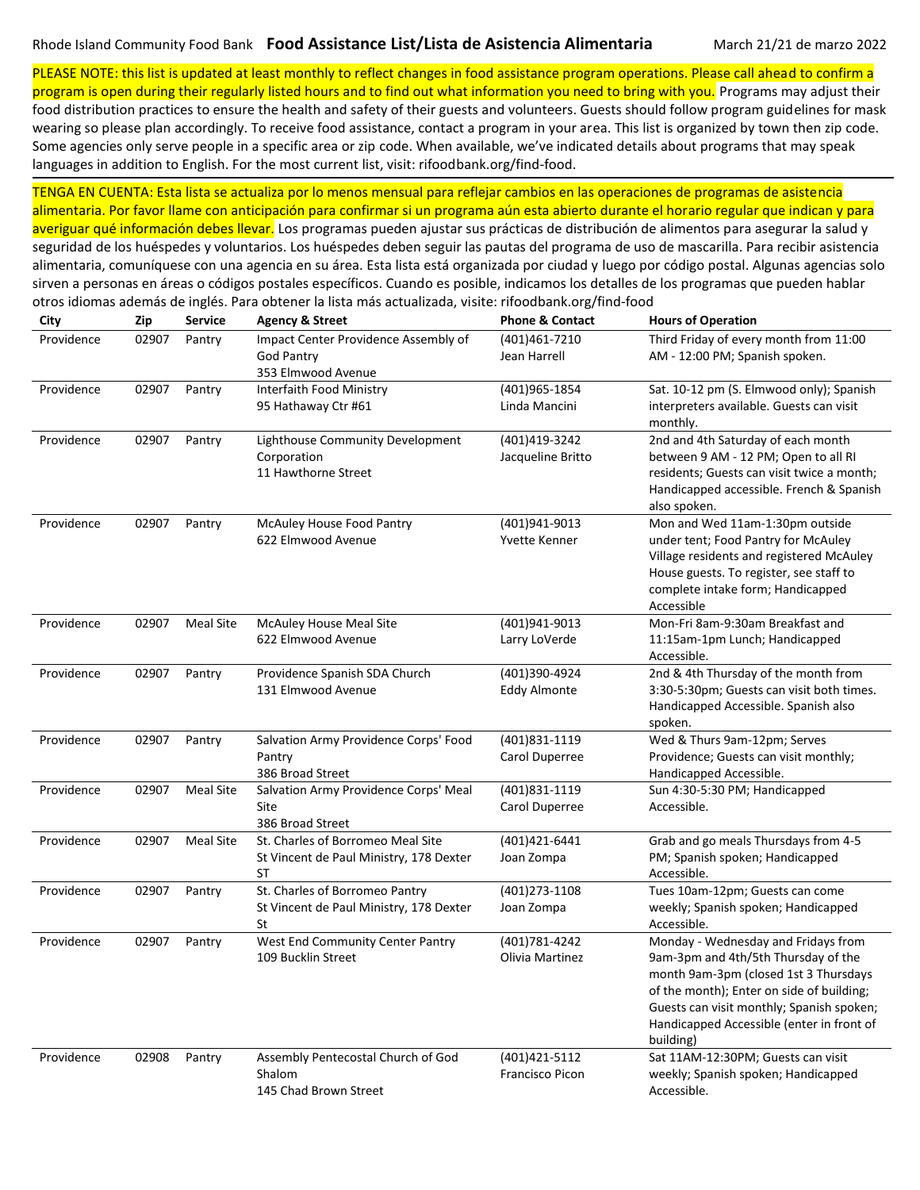PLEASE NOTE: this list is updated at least monthly to reflect changes in food assistance program operations. Please call ahead to confirm a program is open during their regularly listed hours and to find out what information you need to bring with you. Programs may adjust their

food distribution practices to ensure the health and safety of their guests and volunteers. Guests should follow program guidelines for mask wearing so please plan accordingly. To receive food assistance, contact a program in your area. This list is organized by town then zip code. Some agencies only serve people in a specific area or zip code. When available, we've indicated details about programs that may speak languages in addition to English. For the most current list, visit: rifoodbank.org/find-food.

TENGA EN CUENTA: Esta lista se actualiza por lo menos mensual para reflejar cambios en las operaciones de programas de asistencia alimentaria. Por favor llame con anticipación para confirmar si un programa aún esta abierto durante el horario regular que indican y para averiguar qué información debes llevar. Los programas pueden ajustar sus prácticas de distribución de alimentos para asegurar la salud y seguridad de los huéspedes y voluntarios. Los huéspedes deben seguir las pautas del programa de uso de mascarilla. Para recibir asistencia alimentaria, comuníquese con una agencia en su área. Esta lista está organizada por ciudad y luego por código postal. Algunas agencias solo

sirven a personas en áreas o códigos postales específicos. Cuando es posible, indicamos los detalles de los programas que pueden hablar

otros idiomas además de inglés. Para obtener la lista más actualizada, visite: rifoodbank.org/find-food **City Zip Service Agency & Street Phone & Contact Hours of Operation** Providence 02907 Pantry Impact Center Providence Assembly of God Pantry 353 Elmwood Avenue (401)461-7210 Jean Harrell Third Friday of every month from 11:00 AM - 12:00 PM; Spanish spoken. Providence 02907 Pantry Interfaith Food Ministry 95 Hathaway Ctr #61 (401)965-1854 Linda Mancini Sat. 10-12 pm (S. Elmwood only); Spanish interpreters available. Guests can visit monthly. Providence 02907 Pantry Lighthouse Community Development Corporation 11 Hawthorne Street (401)419-3242 Jacqueline Britto 2nd and 4th Saturday of each month between 9 AM - 12 PM; Open to all RI residents; Guests can visit twice a month; Handicapped accessible. French & Spanish also spoken. Providence 02907 Pantry McAuley House Food Pantry 622 Elmwood Avenue (401)941-9013 Yvette Kenner Mon and Wed 11am-1:30pm outside under tent; Food Pantry for McAuley Village residents and registered McAuley House guests. To register, see staff to complete intake form; Handicapped Accessible Providence 02907 Meal Site McAuley House Meal Site 622 Elmwood Avenue (401)941-9013 Larry LoVerde Mon-Fri 8am-9:30am Breakfast and 11:15am-1pm Lunch; Handicapped Accessible. Providence 02907 Pantry Providence Spanish SDA Church 131 Elmwood Avenue (401)390-4924 Eddy Almonte 2nd & 4th Thursday of the month from 3:30-5:30pm; Guests can visit both times. Handicapped Accessible. Spanish also spoken. Providence 02907 Pantry Salvation Army Providence Corps' Food Pantry 386 Broad Street (401)831-1119 Carol Duperree Wed & Thurs 9am-12pm; Serves Providence; Guests can visit monthly; Handicapped Accessible. Providence 02907 Meal Site Salvation Army Providence Corps' Meal Site 386 Broad Street (401)831-1119 Carol Duperree Sun 4:30-5:30 PM; Handicapped Accessible. Providence 02907 Meal Site St. Charles of Borromeo Meal Site St Vincent de Paul Ministry, 178 Dexter ST (401)421-6441 Joan Zompa Grab and go meals Thursdays from 4-5 PM; Spanish spoken; Handicapped Accessible. Providence 02907 Pantry St. Charles of Borromeo Pantry St Vincent de Paul Ministry, 178 Dexter St (401)273-1108 Joan Zompa Tues 10am-12pm; Guests can come weekly; Spanish spoken; Handicapped Accessible. Providence 02907 Pantry West End Community Center Pantry 109 Bucklin Street (401)781-4242 Olivia Martinez Monday - Wednesday and Fridays from 9am-3pm and 4th/5th Thursday of the month 9am-3pm (closed 1st 3 Thursdays of the month); Enter on side of building; Guests can visit monthly; Spanish spoken; Handicapped Accessible (enter in front of building) Providence 02908 Pantry Assembly Pentecostal Church of God Shalom 145 Chad Brown Street (401)421-5112 Francisco Picon Sat 11AM-12:30PM; Guests can visit weekly; Spanish spoken; Handicapped Accessible.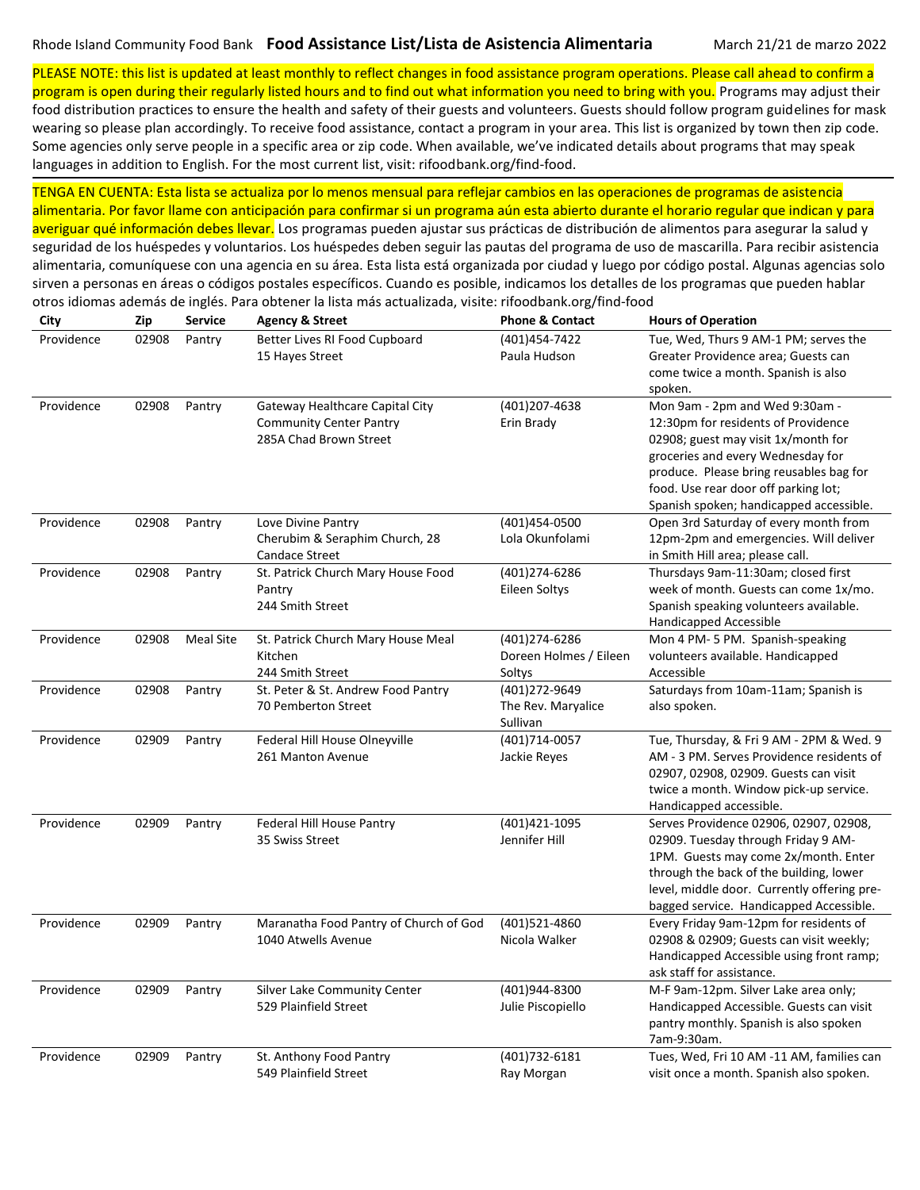otros idiomas además de inglés. Para obtener la lista más actualizada, visite: rifoodbank.org/find-food

PLEASE NOTE: this list is updated at least monthly to reflect changes in food assistance program operations. Please call ahead to confirm a program is open during their regularly listed hours and to find out what information you need to bring with you. Programs may adjust their

food distribution practices to ensure the health and safety of their guests and volunteers. Guests should follow program guidelines for mask wearing so please plan accordingly. To receive food assistance, contact a program in your area. This list is organized by town then zip code. Some agencies only serve people in a specific area or zip code. When available, we've indicated details about programs that may speak languages in addition to English. For the most current list, visit: rifoodbank.org/find-food.

TENGA EN CUENTA: Esta lista se actualiza por lo menos mensual para reflejar cambios en las operaciones de programas de asistencia alimentaria. Por favor llame con anticipación para confirmar si un programa aún esta abierto durante el horario regular que indican y para averiguar qué información debes llevar. Los programas pueden ajustar sus prácticas de distribución de alimentos para asegurar la salud y seguridad de los huéspedes y voluntarios. Los huéspedes deben seguir las pautas del programa de uso de mascarilla. Para recibir asistencia alimentaria, comuníquese con una agencia en su área. Esta lista está organizada por ciudad y luego por código postal. Algunas agencias solo sirven a personas en áreas o códigos postales específicos. Cuando es posible, indicamos los detalles de los programas que pueden hablar

| City       | Zip   | <b>Service</b>   | <b>Agency &amp; Street</b>                                                                  | <b>Phone &amp; Contact</b>                        | <b>Hours of Operation</b>                                                                                                                                                                                                                                                       |
|------------|-------|------------------|---------------------------------------------------------------------------------------------|---------------------------------------------------|---------------------------------------------------------------------------------------------------------------------------------------------------------------------------------------------------------------------------------------------------------------------------------|
| Providence | 02908 | Pantry           | Better Lives RI Food Cupboard<br>15 Hayes Street                                            | (401)454-7422<br>Paula Hudson                     | Tue, Wed, Thurs 9 AM-1 PM; serves the<br>Greater Providence area; Guests can<br>come twice a month. Spanish is also<br>spoken.                                                                                                                                                  |
| Providence | 02908 | Pantry           | Gateway Healthcare Capital City<br><b>Community Center Pantry</b><br>285A Chad Brown Street | (401)207-4638<br>Erin Brady                       | Mon 9am - 2pm and Wed 9:30am -<br>12:30pm for residents of Providence<br>02908; guest may visit 1x/month for<br>groceries and every Wednesday for<br>produce. Please bring reusables bag for<br>food. Use rear door off parking lot;<br>Spanish spoken; handicapped accessible. |
| Providence | 02908 | Pantry           | Love Divine Pantry<br>Cherubim & Seraphim Church, 28<br><b>Candace Street</b>               | (401)454-0500<br>Lola Okunfolami                  | Open 3rd Saturday of every month from<br>12pm-2pm and emergencies. Will deliver<br>in Smith Hill area; please call.                                                                                                                                                             |
| Providence | 02908 | Pantry           | St. Patrick Church Mary House Food<br>Pantry<br>244 Smith Street                            | (401)274-6286<br>Eileen Soltys                    | Thursdays 9am-11:30am; closed first<br>week of month. Guests can come 1x/mo.<br>Spanish speaking volunteers available.<br>Handicapped Accessible                                                                                                                                |
| Providence | 02908 | <b>Meal Site</b> | St. Patrick Church Mary House Meal<br>Kitchen<br>244 Smith Street                           | (401)274-6286<br>Doreen Holmes / Eileen<br>Soltys | Mon 4 PM-5 PM. Spanish-speaking<br>volunteers available. Handicapped<br>Accessible                                                                                                                                                                                              |
| Providence | 02908 | Pantry           | St. Peter & St. Andrew Food Pantry<br>70 Pemberton Street                                   | (401)272-9649<br>The Rev. Maryalice<br>Sullivan   | Saturdays from 10am-11am; Spanish is<br>also spoken.                                                                                                                                                                                                                            |
| Providence | 02909 | Pantry           | Federal Hill House Olneyville<br>261 Manton Avenue                                          | (401)714-0057<br>Jackie Reyes                     | Tue, Thursday, & Fri 9 AM - 2PM & Wed. 9<br>AM - 3 PM. Serves Providence residents of<br>02907, 02908, 02909. Guests can visit<br>twice a month. Window pick-up service.<br>Handicapped accessible.                                                                             |
| Providence | 02909 | Pantry           | Federal Hill House Pantry<br>35 Swiss Street                                                | (401)421-1095<br>Jennifer Hill                    | Serves Providence 02906, 02907, 02908,<br>02909. Tuesday through Friday 9 AM-<br>1PM. Guests may come 2x/month. Enter<br>through the back of the building, lower<br>level, middle door. Currently offering pre-<br>bagged service. Handicapped Accessible.                      |
| Providence | 02909 | Pantry           | Maranatha Food Pantry of Church of God<br>1040 Atwells Avenue                               | (401)521-4860<br>Nicola Walker                    | Every Friday 9am-12pm for residents of<br>02908 & 02909; Guests can visit weekly;<br>Handicapped Accessible using front ramp;<br>ask staff for assistance.                                                                                                                      |
| Providence | 02909 | Pantry           | Silver Lake Community Center<br>529 Plainfield Street                                       | (401)944-8300<br>Julie Piscopiello                | M-F 9am-12pm. Silver Lake area only;<br>Handicapped Accessible. Guests can visit<br>pantry monthly. Spanish is also spoken<br>7am-9:30am.                                                                                                                                       |
| Providence | 02909 | Pantry           | St. Anthony Food Pantry<br>549 Plainfield Street                                            | (401) 732-6181<br>Ray Morgan                      | Tues, Wed, Fri 10 AM -11 AM, families can<br>visit once a month. Spanish also spoken.                                                                                                                                                                                           |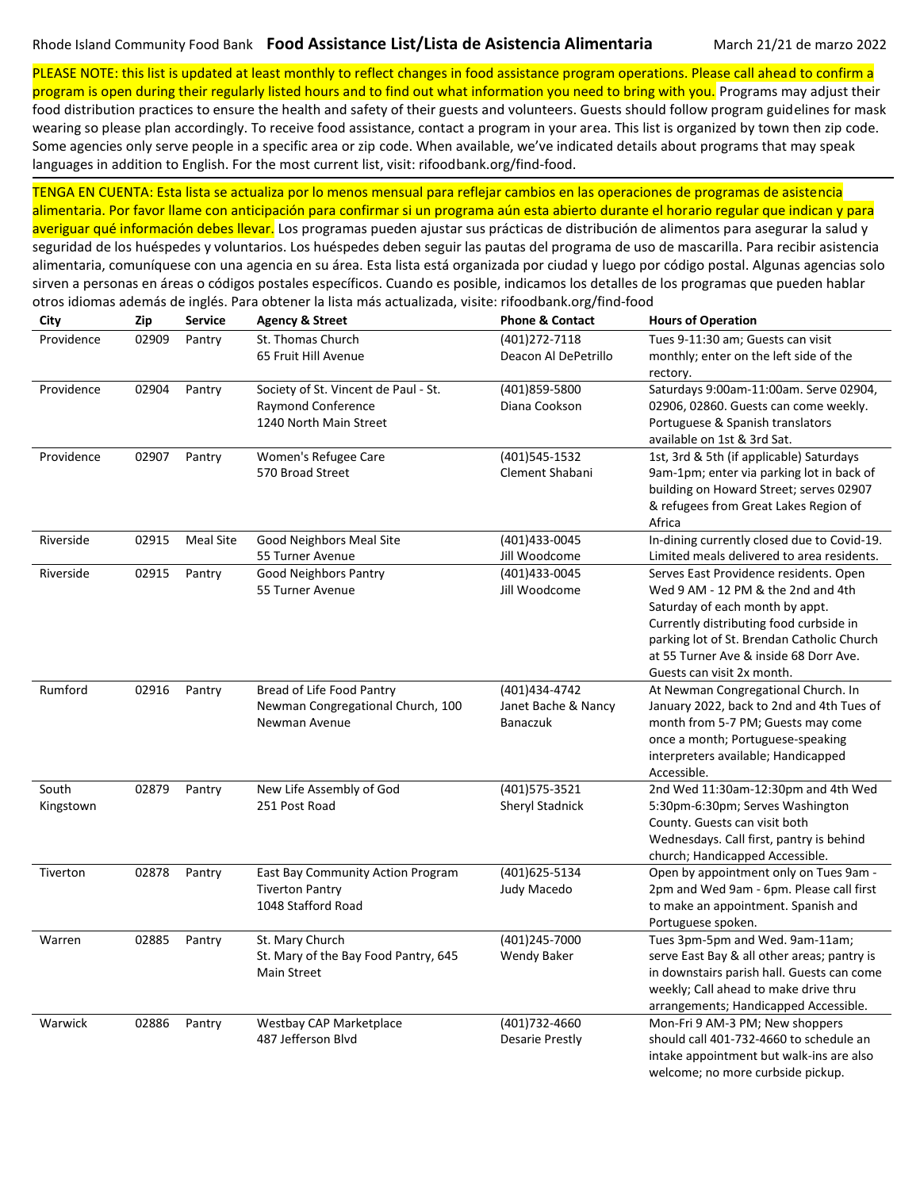otros idiomas además de inglés. Para obtener la lista más actualizada, visite: rifoodbank.org/find-food

PLEASE NOTE: this list is updated at least monthly to reflect changes in food assistance program operations. Please call ahead to confirm a program is open during their regularly listed hours and to find out what information you need to bring with you. Programs may adjust their

food distribution practices to ensure the health and safety of their guests and volunteers. Guests should follow program guidelines for mask wearing so please plan accordingly. To receive food assistance, contact a program in your area. This list is organized by town then zip code. Some agencies only serve people in a specific area or zip code. When available, we've indicated details about programs that may speak languages in addition to English. For the most current list, visit: rifoodbank.org/find-food.

TENGA EN CUENTA: Esta lista se actualiza por lo menos mensual para reflejar cambios en las operaciones de programas de asistencia alimentaria. Por favor llame con anticipación para confirmar si un programa aún esta abierto durante el horario regular que indican y para averiguar qué información debes llevar. Los programas pueden ajustar sus prácticas de distribución de alimentos para asegurar la salud y seguridad de los huéspedes y voluntarios. Los huéspedes deben seguir las pautas del programa de uso de mascarilla. Para recibir asistencia alimentaria, comuníquese con una agencia en su área. Esta lista está organizada por ciudad y luego por código postal. Algunas agencias solo sirven a personas en áreas o códigos postales específicos. Cuando es posible, indicamos los detalles de los programas que pueden hablar

| City               | Zip   | <b>Service</b>   | <b>Agency &amp; Street</b>                                                           | <b>Phone &amp; Contact</b>                              | <b>Hours of Operation</b>                                                                                                                                                                                                                                                        |
|--------------------|-------|------------------|--------------------------------------------------------------------------------------|---------------------------------------------------------|----------------------------------------------------------------------------------------------------------------------------------------------------------------------------------------------------------------------------------------------------------------------------------|
| Providence         | 02909 | Pantry           | St. Thomas Church<br>65 Fruit Hill Avenue                                            | (401)272-7118<br>Deacon Al DePetrillo                   | Tues 9-11:30 am; Guests can visit<br>monthly; enter on the left side of the<br>rectory.                                                                                                                                                                                          |
| Providence         | 02904 | Pantry           | Society of St. Vincent de Paul - St.<br>Raymond Conference<br>1240 North Main Street | (401)859-5800<br>Diana Cookson                          | Saturdays 9:00am-11:00am. Serve 02904,<br>02906, 02860. Guests can come weekly.<br>Portuguese & Spanish translators<br>available on 1st & 3rd Sat.                                                                                                                               |
| Providence         | 02907 | Pantry           | Women's Refugee Care<br>570 Broad Street                                             | (401)545-1532<br>Clement Shabani                        | 1st, 3rd & 5th (if applicable) Saturdays<br>9am-1pm; enter via parking lot in back of<br>building on Howard Street; serves 02907<br>& refugees from Great Lakes Region of<br>Africa                                                                                              |
| Riverside          | 02915 | <b>Meal Site</b> | Good Neighbors Meal Site<br>55 Turner Avenue                                         | (401)433-0045<br>Jill Woodcome                          | In-dining currently closed due to Covid-19.<br>Limited meals delivered to area residents.                                                                                                                                                                                        |
| Riverside          | 02915 | Pantry           | <b>Good Neighbors Pantry</b><br>55 Turner Avenue                                     | (401)433-0045<br>Jill Woodcome                          | Serves East Providence residents. Open<br>Wed 9 AM - 12 PM & the 2nd and 4th<br>Saturday of each month by appt.<br>Currently distributing food curbside in<br>parking lot of St. Brendan Catholic Church<br>at 55 Turner Ave & inside 68 Dorr Ave.<br>Guests can visit 2x month. |
| Rumford            | 02916 | Pantry           | Bread of Life Food Pantry<br>Newman Congregational Church, 100<br>Newman Avenue      | (401)434-4742<br>Janet Bache & Nancy<br><b>Banaczuk</b> | At Newman Congregational Church. In<br>January 2022, back to 2nd and 4th Tues of<br>month from 5-7 PM; Guests may come<br>once a month; Portuguese-speaking<br>interpreters available; Handicapped<br>Accessible.                                                                |
| South<br>Kingstown | 02879 | Pantry           | New Life Assembly of God<br>251 Post Road                                            | (401) 575-3521<br>Sheryl Stadnick                       | 2nd Wed 11:30am-12:30pm and 4th Wed<br>5:30pm-6:30pm; Serves Washington<br>County. Guests can visit both<br>Wednesdays. Call first, pantry is behind<br>church; Handicapped Accessible.                                                                                          |
| Tiverton           | 02878 | Pantry           | East Bay Community Action Program<br><b>Tiverton Pantry</b><br>1048 Stafford Road    | (401)625-5134<br>Judy Macedo                            | Open by appointment only on Tues 9am -<br>2pm and Wed 9am - 6pm. Please call first<br>to make an appointment. Spanish and<br>Portuguese spoken.                                                                                                                                  |
| Warren             | 02885 | Pantry           | St. Mary Church<br>St. Mary of the Bay Food Pantry, 645<br>Main Street               | (401)245-7000<br>Wendy Baker                            | Tues 3pm-5pm and Wed. 9am-11am;<br>serve East Bay & all other areas; pantry is<br>in downstairs parish hall. Guests can come<br>weekly; Call ahead to make drive thru<br>arrangements; Handicapped Accessible.                                                                   |
| Warwick            | 02886 | Pantry           | Westbay CAP Marketplace<br>487 Jefferson Blvd                                        | (401) 732-4660<br>Desarie Prestly                       | Mon-Fri 9 AM-3 PM; New shoppers<br>should call 401-732-4660 to schedule an<br>intake appointment but walk-ins are also<br>welcome; no more curbside pickup.                                                                                                                      |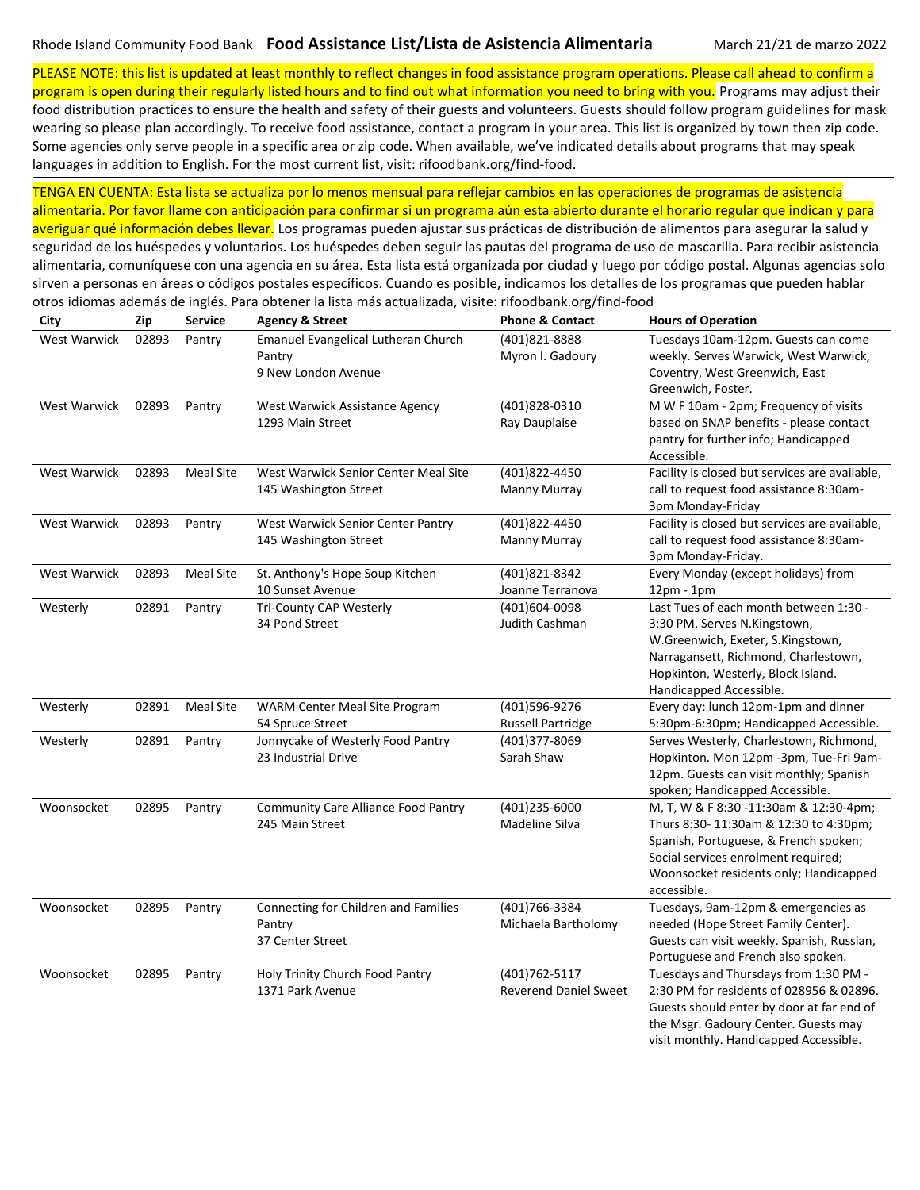PLEASE NOTE: this list is updated at least monthly to reflect changes in food assistance program operations. Please call ahead to confirm a program is open during their regularly listed hours and to find out what information you need to bring with you. Programs may adjust their

food distribution practices to ensure the health and safety of their guests and volunteers. Guests should follow program guidelines for mask wearing so please plan accordingly. To receive food assistance, contact a program in your area. This list is organized by town then zip code. Some agencies only serve people in a specific area or zip code. When available, we've indicated details about programs that may speak languages in addition to English. For the most current list, visit: rifoodbank.org/find-food.

TENGA EN CUENTA: Esta lista se actualiza por lo menos mensual para reflejar cambios en las operaciones de programas de asistencia alimentaria. Por favor llame con anticipación para confirmar si un programa aún esta abierto durante el horario regular que indican y para averiguar qué información debes llevar. Los programas pueden ajustar sus prácticas de distribución de alimentos para asegurar la salud y seguridad de los huéspedes y voluntarios. Los huéspedes deben seguir las pautas del programa de uso de mascarilla. Para recibir asistencia alimentaria, comuníquese con una agencia en su área. Esta lista está organizada por ciudad y luego por código postal. Algunas agencias solo sirven a personas en áreas o códigos postales específicos. Cuando es posible, indicamos los detalles de los programas que pueden hablar otros idiomas además de inglés. Para obtener la lista más actualizada, visite: rifoodbank.org/find-food

| City                | Zip   | <b>Service</b>   | <b>Agency &amp; Street</b>           | <b>Phone &amp; Contact</b>   | <b>Hours of Operation</b>                      |
|---------------------|-------|------------------|--------------------------------------|------------------------------|------------------------------------------------|
| <b>West Warwick</b> | 02893 | Pantry           | Emanuel Evangelical Lutheran Church  | (401)821-8888                | Tuesdays 10am-12pm. Guests can come            |
|                     |       |                  | Pantry                               | Myron I. Gadoury             | weekly. Serves Warwick, West Warwick,          |
|                     |       |                  | 9 New London Avenue                  |                              | Coventry, West Greenwich, East                 |
|                     |       |                  |                                      |                              | Greenwich, Foster.                             |
| West Warwick        | 02893 | Pantry           | West Warwick Assistance Agency       | (401)828-0310                | M W F 10am - 2pm; Frequency of visits          |
|                     |       |                  | 1293 Main Street                     | Ray Dauplaise                | based on SNAP benefits - please contact        |
|                     |       |                  |                                      |                              | pantry for further info; Handicapped           |
|                     |       |                  |                                      |                              | Accessible.                                    |
| <b>West Warwick</b> | 02893 | Meal Site        | West Warwick Senior Center Meal Site | (401)822-4450                | Facility is closed but services are available, |
|                     |       |                  | 145 Washington Street                | Manny Murray                 | call to request food assistance 8:30am-        |
|                     |       |                  |                                      |                              | 3pm Monday-Friday                              |
| West Warwick        | 02893 | Pantry           | West Warwick Senior Center Pantry    | (401)822-4450                | Facility is closed but services are available, |
|                     |       |                  | 145 Washington Street                | Manny Murray                 | call to request food assistance 8:30am-        |
|                     |       |                  |                                      |                              | 3pm Monday-Friday.                             |
| <b>West Warwick</b> | 02893 | <b>Meal Site</b> | St. Anthony's Hope Soup Kitchen      | (401)821-8342                | Every Monday (except holidays) from            |
|                     |       |                  | 10 Sunset Avenue                     | Joanne Terranova             | $12pm - 1pm$                                   |
| Westerly            | 02891 | Pantry           | Tri-County CAP Westerly              | (401)604-0098                | Last Tues of each month between 1:30 -         |
|                     |       |                  | 34 Pond Street                       | Judith Cashman               | 3:30 PM. Serves N.Kingstown,                   |
|                     |       |                  |                                      |                              | W.Greenwich, Exeter, S.Kingstown,              |
|                     |       |                  |                                      |                              | Narragansett, Richmond, Charlestown,           |
|                     |       |                  |                                      |                              | Hopkinton, Westerly, Block Island.             |
|                     |       |                  |                                      |                              | Handicapped Accessible.                        |
| Westerly            | 02891 | <b>Meal Site</b> | WARM Center Meal Site Program        | (401)596-9276                | Every day: lunch 12pm-1pm and dinner           |
|                     |       |                  | 54 Spruce Street                     | <b>Russell Partridge</b>     | 5:30pm-6:30pm; Handicapped Accessible.         |
| Westerly            | 02891 | Pantry           | Jonnycake of Westerly Food Pantry    | (401)377-8069                | Serves Westerly, Charlestown, Richmond,        |
|                     |       |                  | 23 Industrial Drive                  | Sarah Shaw                   | Hopkinton. Mon 12pm -3pm, Tue-Fri 9am-         |
|                     |       |                  |                                      |                              | 12pm. Guests can visit monthly; Spanish        |
|                     |       |                  |                                      |                              | spoken; Handicapped Accessible.                |
| Woonsocket          | 02895 | Pantry           | Community Care Alliance Food Pantry  | (401)235-6000                | M, T, W & F 8:30 -11:30am & 12:30-4pm;         |
|                     |       |                  | 245 Main Street                      | Madeline Silva               | Thurs 8:30-11:30am & 12:30 to 4:30pm;          |
|                     |       |                  |                                      |                              | Spanish, Portuguese, & French spoken;          |
|                     |       |                  |                                      |                              | Social services enrolment required;            |
|                     |       |                  |                                      |                              | Woonsocket residents only; Handicapped         |
|                     |       |                  |                                      |                              | accessible.                                    |
| Woonsocket          | 02895 | Pantry           | Connecting for Children and Families | (401)766-3384                | Tuesdays, 9am-12pm & emergencies as            |
|                     |       |                  | Pantry                               | Michaela Bartholomy          | needed (Hope Street Family Center).            |
|                     |       |                  | 37 Center Street                     |                              | Guests can visit weekly. Spanish, Russian,     |
|                     |       |                  |                                      |                              | Portuguese and French also spoken.             |
| Woonsocket          | 02895 | Pantry           | Holy Trinity Church Food Pantry      | (401) 762-5117               | Tuesdays and Thursdays from 1:30 PM -          |
|                     |       |                  | 1371 Park Avenue                     | <b>Reverend Daniel Sweet</b> | 2:30 PM for residents of 028956 & 02896.       |
|                     |       |                  |                                      |                              | Guests should enter by door at far end of      |
|                     |       |                  |                                      |                              | the Msgr. Gadoury Center. Guests may           |
|                     |       |                  |                                      |                              | visit monthly. Handicapped Accessible.         |